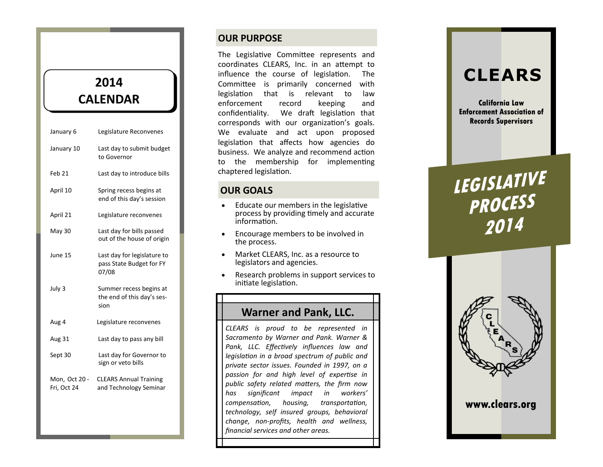# **2014 CALENDAR**

| January 6                    | Legislature Reconvenes                                           |
|------------------------------|------------------------------------------------------------------|
| January 10                   | Last day to submit budget<br>to Governor                         |
| Feb 21                       | Last day to introduce bills                                      |
| April 10                     | Spring recess begins at<br>end of this day's session             |
| April 21                     | Legislature reconvenes                                           |
| May 30                       | Last day for bills passed<br>out of the house of origin          |
| June 15                      | Last day for legislature to<br>pass State Budget for FY<br>07/08 |
| July 3                       | Summer recess begins at<br>the end of this day's ses-<br>sion    |
| Aug 4                        | Legislature reconvenes                                           |
| Aug 31                       | Last day to pass any bill                                        |
| Sept 30                      | Last day for Governor to<br>sign or veto bills                   |
| Mon, Oct 20 -<br>Fri, Oct 24 | <b>CLEARS Annual Training</b><br>and Technology Seminar          |

# **OUR PURPOSE**

The Legislative Committee represents and coordinates CLEARS, Inc. in an attempt to influence the course of legislation. The Committee is primarily concerned with legislation that is relevant to law enforcement record keeping and confidentiality. We draft legislation that corresponds with our organization's goals. We evaluate and act upon proposed legislation that affects how agencies do business. We analyze and recommend action to the membership for implementing chaptered legislation.

# **OUR GOALS**

- Educate our members in the legislative process by providing timely and accurate information.
- Encourage members to be involved in the process.
- Market CLEARS, Inc. as a resource to legislators and agencies.
- Research problems in support services to initiate legislation.

# **Warner and Pank, LLC.**

*CLEARS is proud to be represented in Sacramento by Warner and Pank. Warner & Pank, LLC. Effectively influences law and legislation in a broad spectrum of public and private sector issues. Founded in 1997, on a passion for and high level of expertise in public safety related matters, the firm now has significant impact in workers' compensation, housing, transportation, technology, self insured groups, behavioral change, non -profits, health and wellness, financial services and other areas.*

# **CLEARS**

**California Law Enforcement Association of Records Supervisors**

# **LEGISLATIVE PROCESS 2014**



**www.clears.org**